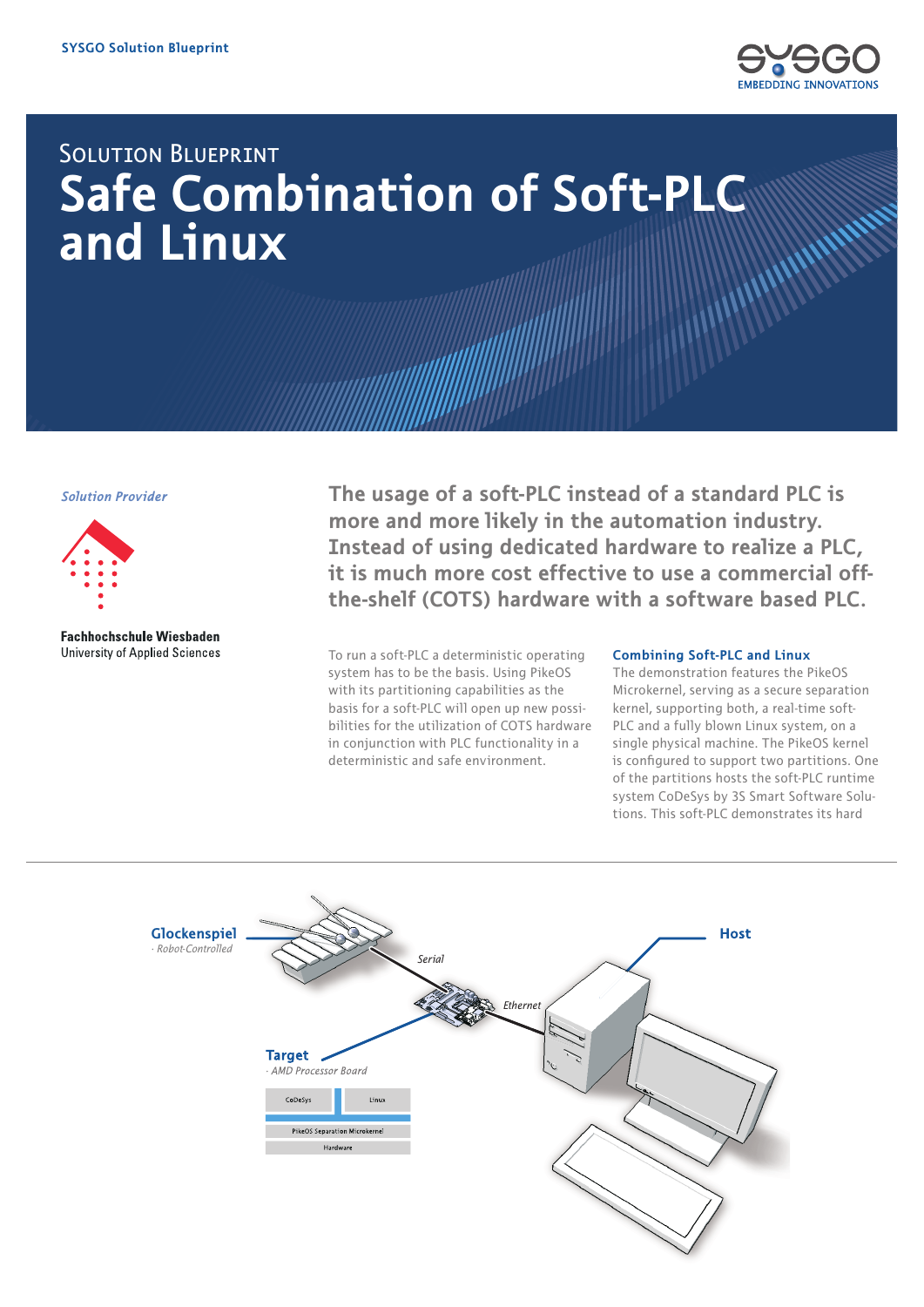

## **SOLUTION BLUEPRINT Safe Combination of Soft-PLC** and Linux

**Solution Provider** 



**Fachhochschule Wiesbaden University of Applied Sciences** 

The usage of a soft-PLC instead of a standard PLC is more and more likely in the automation industry. Instead of using dedicated hardware to realize a PLC. it is much more cost effective to use a commercial offthe-shelf (COTS) hardware with a software based PLC.

To run a soft-PLC a deterministic operating system has to be the basis. Using PikeOS with its partitioning capabilities as the basis for a soft-PLC will open up new possibilities for the utilization of COTS hardware in conjunction with PLC functionality in a deterministic and safe environment.

## **Combining Soft-PLC and Linux**

The demonstration features the PikeOS Microkernel, serving as a secure separation kernel, supporting both, a real-time soft-PLC and a fully blown Linux system, on a single physical machine. The PikeOS kernel is configured to support two partitions. One of the partitions hosts the soft-PLC runtime system CoDeSys by 3S Smart Software Solutions. This soft-PLC demonstrates its hard